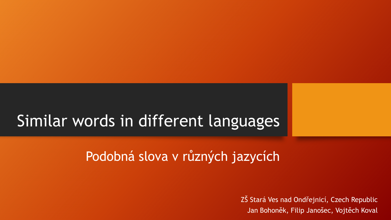# Similar words in different languages

#### Podobná slova v různých jazycích

ZŠ Stará Ves nad Ondřejnicí, Czech Republic Jan Bohoněk, Filip Janošec, Vojtěch Koval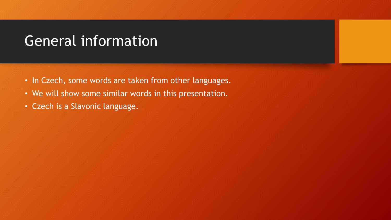#### General information

- In Czech, some words are taken from other languages.
- We will show some similar words in this presentation.
- Czech is a Slavonic language.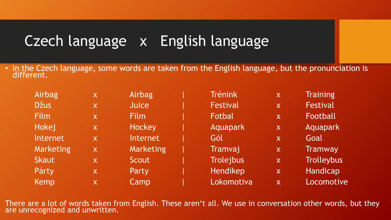## Czech language x English language

• In the Czech language, some words are taken from the English language, but the pronunciation is different.

| Airbag       | X.           | Airbag       | <b>Trénink</b>   | $\mathsf{X}$ | <b>Training</b>   |
|--------------|--------------|--------------|------------------|--------------|-------------------|
| <b>Džus</b>  | X            | <b>Juice</b> | <b>Festival</b>  | X            | Festival          |
| Film         | X            | Film         | Fotbal           | $\mathsf{X}$ | Football          |
| Hokej        | X            | Hockey       | Aquapark         | $\mathsf{X}$ | Aquapark          |
| Internet     | $\mathsf{X}$ | Internet     | Gól              | $\mathsf{X}$ | Goal              |
| Marketing    | X            | Marketing    | Tramvaj          | $\mathsf{X}$ | <b>Tramway</b>    |
| <b>Skaut</b> | $\mathsf{X}$ | Scout        | <b>Trolejbus</b> | $\mathsf{X}$ | <b>Trolleybus</b> |
| Párty        | X            | Party        | Hendikep         | $\mathsf{X}$ | Handicap          |
| Kemp         | $\mathsf{X}$ | Camp         | Lokomotiva       | $\mathsf{X}$ | Locomotive        |

There are a lot of words taken from English. These aren't all. We use in conversation other words, but they are unrecognized and unwritten.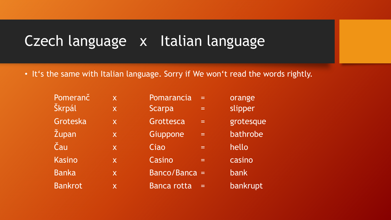### Czech language x Italian language

• It's the same with Italian language. Sorry if We won't read the words rightly.

| Pomeranč       | $\mathsf{X}$ | Pomarancia<br>=    | orange    |
|----------------|--------------|--------------------|-----------|
| Škrpál         | X            | <b>Scarpa</b><br>= | slipper   |
| Groteska       | $\mathsf{X}$ | Grottesca<br>$=$   | grotesque |
| Župan          | X            | Giuppone<br>$=$    | bathrobe  |
| Čau            | $\mathsf{X}$ | Ciao<br>=          | hello     |
| <b>Kasino</b>  | $\mathsf{X}$ | Casino<br>$=$      | casino    |
| <b>Banka</b>   | $\mathsf{X}$ | Banco/Banca =      | bank      |
| <b>Bankrot</b> | $\mathsf{X}$ | <b>Banca rotta</b> | bankrupt  |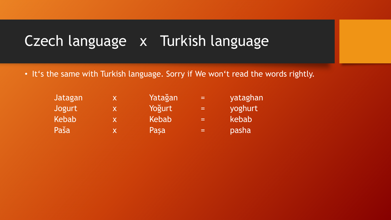### Czech language x Turkish language

• It's the same with Turkish language. Sorry if We won't read the words rightly.

| Jatagan | X |
|---------|---|
| Jogurt  | X |
| Kebab   | X |
| Paša    | X |

Yatağan = yataghan Yoğurt = yoghurt  $Kebab = kebab$ Paşa = pasha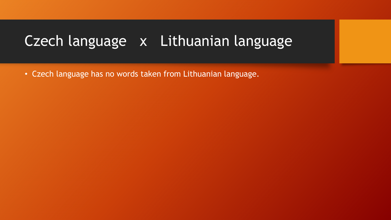### Czech language x Lithuanian language

• Czech language has no words taken from Lithuanian language.